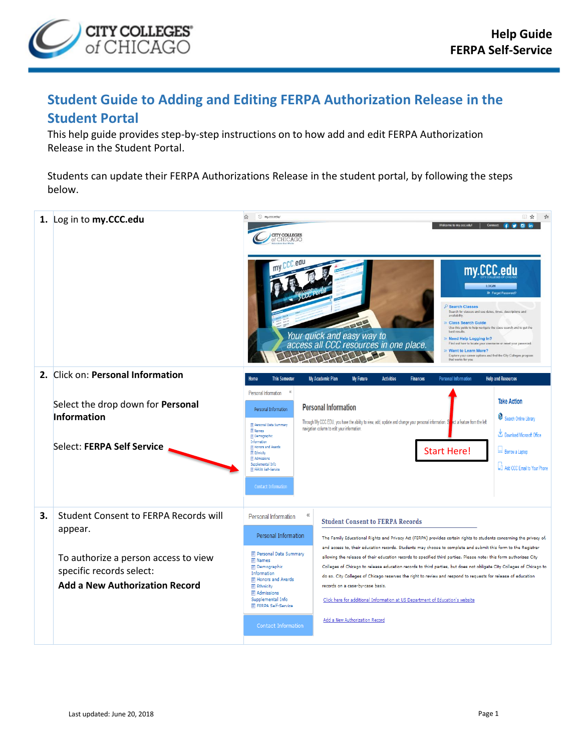

## **Student Guide to Adding and Editing FERPA Authorization Release in the Student Portal**

This help guide provides step-by-step instructions on to how add and edit FERPA Authorization Release in the Student Portal.

Students can update their FERPA Authorizations Release in the student portal, by following the steps below.

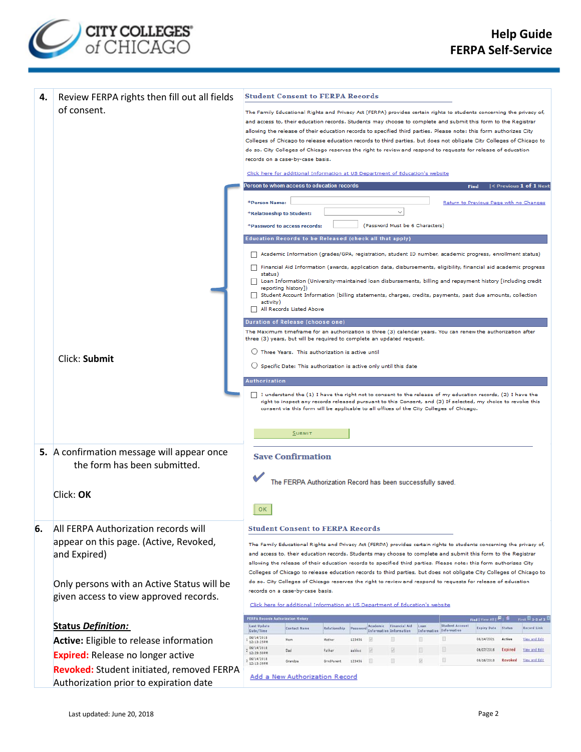

| 4.                                                                                                                                                          | Review FERPA rights then fill out all fields |                                                                                                                                                                                                                                                                                                                                                                                                                                                                                     | <b>Student Consent to FERPA Records</b>                                                                                                                                                                                      |                        |                    |  |                                |                         |                        |                                  |                  |                                     |  |  |
|-------------------------------------------------------------------------------------------------------------------------------------------------------------|----------------------------------------------|-------------------------------------------------------------------------------------------------------------------------------------------------------------------------------------------------------------------------------------------------------------------------------------------------------------------------------------------------------------------------------------------------------------------------------------------------------------------------------------|------------------------------------------------------------------------------------------------------------------------------------------------------------------------------------------------------------------------------|------------------------|--------------------|--|--------------------------------|-------------------------|------------------------|----------------------------------|------------------|-------------------------------------|--|--|
|                                                                                                                                                             | of consent.                                  | The Family Educational Rights and Privacy Act (FERPA) provides certain rights to students concerning the privacy of,                                                                                                                                                                                                                                                                                                                                                                |                                                                                                                                                                                                                              |                        |                    |  |                                |                         |                        |                                  |                  |                                     |  |  |
|                                                                                                                                                             |                                              |                                                                                                                                                                                                                                                                                                                                                                                                                                                                                     | and access to, their education records. Students may choose to complete and submit this form to the Registrar                                                                                                                |                        |                    |  |                                |                         |                        |                                  |                  |                                     |  |  |
|                                                                                                                                                             |                                              | allowing the release of their education records to specified third parties. Please note: this form authorizes City<br>Colleges of Chicago to release education records to third parties, but does not obligate City Colleges of Chicago to                                                                                                                                                                                                                                          |                                                                                                                                                                                                                              |                        |                    |  |                                |                         |                        |                                  |                  |                                     |  |  |
|                                                                                                                                                             |                                              |                                                                                                                                                                                                                                                                                                                                                                                                                                                                                     | do so. City Colleges of Chicago reserves the right to review and respond to requests for release of education                                                                                                                |                        |                    |  |                                |                         |                        |                                  |                  |                                     |  |  |
|                                                                                                                                                             |                                              |                                                                                                                                                                                                                                                                                                                                                                                                                                                                                     | records on a case-by-case basis.                                                                                                                                                                                             |                        |                    |  |                                |                         |                        |                                  |                  |                                     |  |  |
|                                                                                                                                                             |                                              | Click here for additional Information at US Department of Education's website                                                                                                                                                                                                                                                                                                                                                                                                       |                                                                                                                                                                                                                              |                        |                    |  |                                |                         |                        |                                  |                  |                                     |  |  |
|                                                                                                                                                             |                                              | Person to whom access to education records<br>$\vert$ < Previous 1 of 1 Next<br>Find                                                                                                                                                                                                                                                                                                                                                                                                |                                                                                                                                                                                                                              |                        |                    |  |                                |                         |                        |                                  |                  |                                     |  |  |
|                                                                                                                                                             |                                              | *Person Name:<br>Return to Previous Page with no Changes<br>*Relationship to Student:<br>(Password Must be 6 Characters)<br>*Password to access records:<br>Education Records to be Released (check all that apply)                                                                                                                                                                                                                                                                 |                                                                                                                                                                                                                              |                        |                    |  |                                |                         |                        |                                  |                  |                                     |  |  |
|                                                                                                                                                             |                                              |                                                                                                                                                                                                                                                                                                                                                                                                                                                                                     |                                                                                                                                                                                                                              |                        |                    |  |                                |                         |                        |                                  |                  |                                     |  |  |
|                                                                                                                                                             |                                              |                                                                                                                                                                                                                                                                                                                                                                                                                                                                                     |                                                                                                                                                                                                                              |                        |                    |  |                                |                         |                        |                                  |                  |                                     |  |  |
|                                                                                                                                                             |                                              | Academic Information (grades/GPA, registration, student ID number, academic progress, enrollment status)                                                                                                                                                                                                                                                                                                                                                                            |                                                                                                                                                                                                                              |                        |                    |  |                                |                         |                        |                                  |                  |                                     |  |  |
|                                                                                                                                                             |                                              | Financial Aid Information (awards, application data, disbursements, eligibility, financial aid academic progress<br>$\mathbf{1}$                                                                                                                                                                                                                                                                                                                                                    |                                                                                                                                                                                                                              |                        |                    |  |                                |                         |                        |                                  |                  |                                     |  |  |
|                                                                                                                                                             |                                              | status)<br>Loan Information (University-maintained loan disbursements, billing and repayment history [including credit                                                                                                                                                                                                                                                                                                                                                              |                                                                                                                                                                                                                              |                        |                    |  |                                |                         |                        |                                  |                  |                                     |  |  |
|                                                                                                                                                             |                                              |                                                                                                                                                                                                                                                                                                                                                                                                                                                                                     | reporting history])<br>Student Account Information (billing statements, charges, credits, payments, past due amounts, collection<br>activity)                                                                                |                        |                    |  |                                |                         |                        |                                  |                  |                                     |  |  |
|                                                                                                                                                             |                                              | $\Box$                                                                                                                                                                                                                                                                                                                                                                                                                                                                              | All Records Listed Above                                                                                                                                                                                                     |                        |                    |  |                                |                         |                        |                                  |                  |                                     |  |  |
|                                                                                                                                                             |                                              |                                                                                                                                                                                                                                                                                                                                                                                                                                                                                     | Duration of Release (choose one)                                                                                                                                                                                             |                        |                    |  |                                |                         |                        |                                  |                  |                                     |  |  |
|                                                                                                                                                             |                                              | The Maximum timeframe for an authorization is three (3) calendar years. You can renew the authorization after<br>three (3) years, but will be required to complete an updated request.                                                                                                                                                                                                                                                                                              |                                                                                                                                                                                                                              |                        |                    |  |                                |                         |                        |                                  |                  |                                     |  |  |
|                                                                                                                                                             |                                              | $\bigcirc$ Three Years. This authorization is active until                                                                                                                                                                                                                                                                                                                                                                                                                          |                                                                                                                                                                                                                              |                        |                    |  |                                |                         |                        |                                  |                  |                                     |  |  |
|                                                                                                                                                             | Click: Submit                                | $\bigcirc$ Specific Date: This authorization is active only until this date                                                                                                                                                                                                                                                                                                                                                                                                         |                                                                                                                                                                                                                              |                        |                    |  |                                |                         |                        |                                  |                  |                                     |  |  |
|                                                                                                                                                             |                                              | Authorization                                                                                                                                                                                                                                                                                                                                                                                                                                                                       |                                                                                                                                                                                                                              |                        |                    |  |                                |                         |                        |                                  |                  |                                     |  |  |
|                                                                                                                                                             |                                              |                                                                                                                                                                                                                                                                                                                                                                                                                                                                                     | I understand the (1) I have the right not to consent to the release of my education records, (2) I have the<br>right to inspect any records released pursuant to this Consent, and (3) If selected, my choice to revoke this |                        |                    |  |                                |                         |                        |                                  |                  |                                     |  |  |
|                                                                                                                                                             |                                              | consent via this form will be applicable to all offices of the City Colleges of Chicago.                                                                                                                                                                                                                                                                                                                                                                                            |                                                                                                                                                                                                                              |                        |                    |  |                                |                         |                        |                                  |                  |                                     |  |  |
|                                                                                                                                                             |                                              |                                                                                                                                                                                                                                                                                                                                                                                                                                                                                     | SUBMIT                                                                                                                                                                                                                       |                        |                    |  |                                |                         |                        |                                  |                  |                                     |  |  |
|                                                                                                                                                             |                                              |                                                                                                                                                                                                                                                                                                                                                                                                                                                                                     |                                                                                                                                                                                                                              |                        |                    |  |                                |                         |                        |                                  |                  |                                     |  |  |
|                                                                                                                                                             | 5. A confirmation message will appear once   | <b>Save Confirmation</b>                                                                                                                                                                                                                                                                                                                                                                                                                                                            |                                                                                                                                                                                                                              |                        |                    |  |                                |                         |                        |                                  |                  |                                     |  |  |
|                                                                                                                                                             | the form has been submitted.                 | The FERPA Authorization Record has been successfully saved.                                                                                                                                                                                                                                                                                                                                                                                                                         |                                                                                                                                                                                                                              |                        |                    |  |                                |                         |                        |                                  |                  |                                     |  |  |
|                                                                                                                                                             |                                              |                                                                                                                                                                                                                                                                                                                                                                                                                                                                                     |                                                                                                                                                                                                                              |                        |                    |  |                                |                         |                        |                                  |                  |                                     |  |  |
|                                                                                                                                                             | Click: OK                                    |                                                                                                                                                                                                                                                                                                                                                                                                                                                                                     |                                                                                                                                                                                                                              |                        |                    |  |                                |                         |                        |                                  |                  |                                     |  |  |
|                                                                                                                                                             |                                              | 0K                                                                                                                                                                                                                                                                                                                                                                                                                                                                                  |                                                                                                                                                                                                                              |                        |                    |  |                                |                         |                        |                                  |                  |                                     |  |  |
| 6.                                                                                                                                                          | All FERPA Authorization records will         |                                                                                                                                                                                                                                                                                                                                                                                                                                                                                     | <b>Student Consent to FERPA Records</b>                                                                                                                                                                                      |                        |                    |  |                                |                         |                        |                                  |                  |                                     |  |  |
|                                                                                                                                                             | appear on this page. (Active, Revoked,       |                                                                                                                                                                                                                                                                                                                                                                                                                                                                                     |                                                                                                                                                                                                                              |                        |                    |  |                                |                         |                        |                                  |                  |                                     |  |  |
|                                                                                                                                                             | and Expired)                                 | The Family Educational Rights and Privacy Act (FERPA) provides certain rights to students concerning the privacy of,<br>and access to, their education records. Students may choose to complete and submit this form to the Registrar<br>allowing the release of their education records to specified third parties. Please note: this form authorizes City<br>Colleges of Chicago to release education records to third parties, but does not obligate City Colleges of Chicago to |                                                                                                                                                                                                                              |                        |                    |  |                                |                         |                        |                                  |                  |                                     |  |  |
|                                                                                                                                                             |                                              |                                                                                                                                                                                                                                                                                                                                                                                                                                                                                     |                                                                                                                                                                                                                              |                        |                    |  |                                |                         |                        |                                  |                  |                                     |  |  |
| do so. City Colleges of Chicago reserves the right to review and respond to reguests for release of education<br>Only persons with an Active Status will be |                                              |                                                                                                                                                                                                                                                                                                                                                                                                                                                                                     |                                                                                                                                                                                                                              |                        |                    |  |                                |                         |                        |                                  |                  |                                     |  |  |
|                                                                                                                                                             | given access to view approved records.       | records on a case-by-case basis.<br>Click here for additional Information at US Department of Education's website                                                                                                                                                                                                                                                                                                                                                                   |                                                                                                                                                                                                                              |                        |                    |  |                                |                         |                        |                                  |                  |                                     |  |  |
|                                                                                                                                                             |                                              |                                                                                                                                                                                                                                                                                                                                                                                                                                                                                     |                                                                                                                                                                                                                              |                        |                    |  |                                |                         |                        |                                  |                  |                                     |  |  |
|                                                                                                                                                             | <b>Status Definition:</b>                    | Last Update                                                                                                                                                                                                                                                                                                                                                                                                                                                                         | <b>FERPA Records Authorization History</b>                                                                                                                                                                                   |                        |                    |  | Academic Financial Aid         | Loan                    | <b>Student Account</b> | Find [ View All ]                |                  | First $\blacksquare$ 1-3 of 3       |  |  |
|                                                                                                                                                             | Active: Eligible to release information      | Date/Time<br>06/14/2018                                                                                                                                                                                                                                                                                                                                                                                                                                                             | <b>Contact Name</b><br>Mom                                                                                                                                                                                                   | Relationship<br>Mother | Password<br>123456 |  | <b>Information Information</b> | Information Information |                        | <b>Expiry Date</b><br>06/14/2021 | Status<br>Active | <b>Record Lini</b><br>View and Edit |  |  |
|                                                                                                                                                             |                                              | 12:13:25PM<br>06/14/2018<br>12:29:50PM                                                                                                                                                                                                                                                                                                                                                                                                                                              | Dad                                                                                                                                                                                                                          | Father                 | aabbcc             |  |                                |                         |                        | 06/07/2018                       | <b>Expired</b>   | View and Edit                       |  |  |
|                                                                                                                                                             | <b>Expired:</b> Release no longer active     | 06/14/2018<br>12/13/39PM                                                                                                                                                                                                                                                                                                                                                                                                                                                            | Grandpa                                                                                                                                                                                                                      | GrndParent             | 123456             |  |                                |                         | 圓                      | 06/16/2018                       | Revoked          | View and Edit                       |  |  |
|                                                                                                                                                             | Revoked: Student initiated, removed FERPA    |                                                                                                                                                                                                                                                                                                                                                                                                                                                                                     | Add a New Authorization Record                                                                                                                                                                                               |                        |                    |  |                                |                         |                        |                                  |                  |                                     |  |  |
|                                                                                                                                                             | Authorization prior to expiration date       |                                                                                                                                                                                                                                                                                                                                                                                                                                                                                     |                                                                                                                                                                                                                              |                        |                    |  |                                |                         |                        |                                  |                  |                                     |  |  |